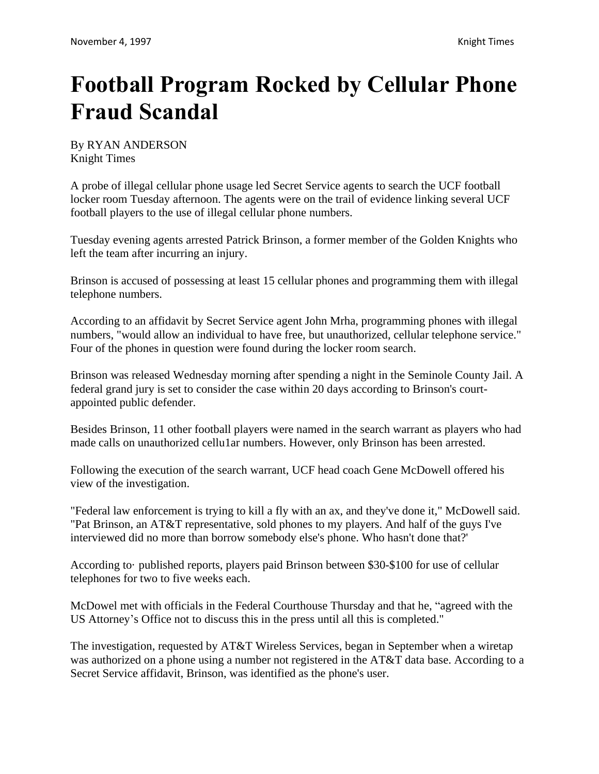## **Football Program Rocked by Cellular Phone Fraud Scandal**

By RYAN ANDERSON Knight Times

A probe of illegal cellular phone usage led Secret Service agents to search the UCF football locker room Tuesday afternoon. The agents were on the trail of evidence linking several UCF football players to the use of illegal cellular phone numbers.

Tuesday evening agents arrested Patrick Brinson, a former member of the Golden Knights who left the team after incurring an injury.

Brinson is accused of possessing at least 15 cellular phones and programming them with illegal telephone numbers.

According to an affidavit by Secret Service agent John Mrha, programming phones with illegal numbers, "would allow an individual to have free, but unauthorized, cellular telephone service." Four of the phones in question were found during the locker room search.

Brinson was released Wednesday morning after spending a night in the Seminole County Jail. A federal grand jury is set to consider the case within 20 days according to Brinson's courtappointed public defender.

Besides Brinson, 11 other football players were named in the search warrant as players who had made calls on unauthorized cellu1ar numbers. However, only Brinson has been arrested.

Following the execution of the search warrant, UCF head coach Gene McDowell offered his view of the investigation.

"Federal law enforcement is trying to kill a fly with an ax, and they've done it," McDowell said. "Pat Brinson, an AT&T representative, sold phones to my players. And half of the guys I've interviewed did no more than borrow somebody else's phone. Who hasn't done that?'

According to· published reports, players paid Brinson between \$30-\$100 for use of cellular telephones for two to five weeks each.

McDowel met with officials in the Federal Courthouse Thursday and that he, "agreed with the US Attorney's Office not to discuss this in the press until all this is completed."

The investigation, requested by AT&T Wireless Services, began in September when a wiretap was authorized on a phone using a number not registered in the AT&T data base. According to a Secret Service affidavit, Brinson, was identified as the phone's user.